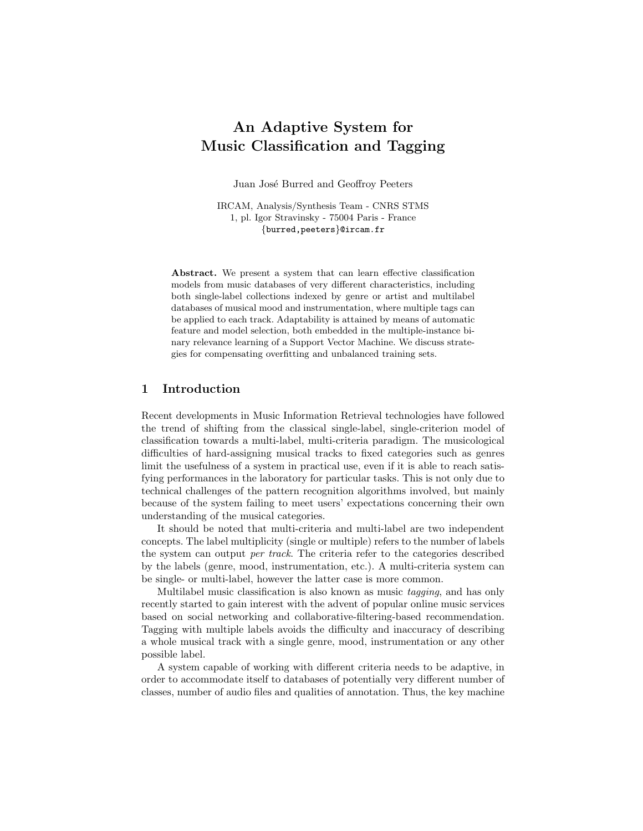# An Adaptive System for Music Classification and Tagging

Juan José Burred and Geoffroy Peeters

IRCAM, Analysis/Synthesis Team - CNRS STMS 1, pl. Igor Stravinsky - 75004 Paris - France {burred,peeters}@ircam.fr

Abstract. We present a system that can learn effective classification models from music databases of very different characteristics, including both single-label collections indexed by genre or artist and multilabel databases of musical mood and instrumentation, where multiple tags can be applied to each track. Adaptability is attained by means of automatic feature and model selection, both embedded in the multiple-instance binary relevance learning of a Support Vector Machine. We discuss strategies for compensating overfitting and unbalanced training sets.

# 1 Introduction

Recent developments in Music Information Retrieval technologies have followed the trend of shifting from the classical single-label, single-criterion model of classification towards a multi-label, multi-criteria paradigm. The musicological difficulties of hard-assigning musical tracks to fixed categories such as genres limit the usefulness of a system in practical use, even if it is able to reach satisfying performances in the laboratory for particular tasks. This is not only due to technical challenges of the pattern recognition algorithms involved, but mainly because of the system failing to meet users' expectations concerning their own understanding of the musical categories.

It should be noted that multi-criteria and multi-label are two independent concepts. The label multiplicity (single or multiple) refers to the number of labels the system can output per track. The criteria refer to the categories described by the labels (genre, mood, instrumentation, etc.). A multi-criteria system can be single- or multi-label, however the latter case is more common.

Multilabel music classification is also known as music tagging, and has only recently started to gain interest with the advent of popular online music services based on social networking and collaborative-filtering-based recommendation. Tagging with multiple labels avoids the difficulty and inaccuracy of describing a whole musical track with a single genre, mood, instrumentation or any other possible label.

A system capable of working with different criteria needs to be adaptive, in order to accommodate itself to databases of potentially very different number of classes, number of audio files and qualities of annotation. Thus, the key machine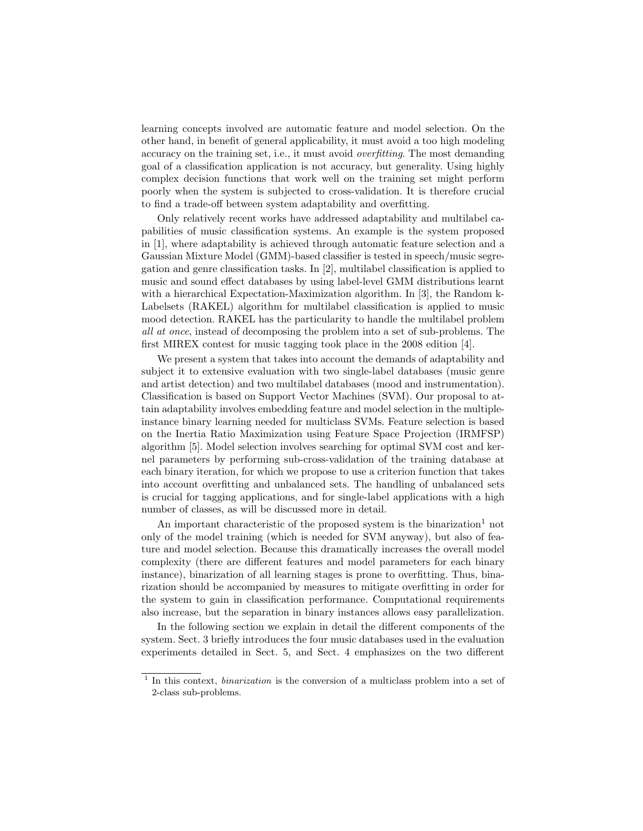learning concepts involved are automatic feature and model selection. On the other hand, in benefit of general applicability, it must avoid a too high modeling accuracy on the training set, i.e., it must avoid overfitting. The most demanding goal of a classification application is not accuracy, but generality. Using highly complex decision functions that work well on the training set might perform poorly when the system is subjected to cross-validation. It is therefore crucial to find a trade-off between system adaptability and overfitting.

Only relatively recent works have addressed adaptability and multilabel capabilities of music classification systems. An example is the system proposed in [1], where adaptability is achieved through automatic feature selection and a Gaussian Mixture Model (GMM)-based classifier is tested in speech/music segregation and genre classification tasks. In [2], multilabel classification is applied to music and sound effect databases by using label-level GMM distributions learnt with a hierarchical Expectation-Maximization algorithm. In [3], the Random k-Labelsets (RAKEL) algorithm for multilabel classification is applied to music mood detection. RAKEL has the particularity to handle the multilabel problem all at once, instead of decomposing the problem into a set of sub-problems. The first MIREX contest for music tagging took place in the 2008 edition [4].

We present a system that takes into account the demands of adaptability and subject it to extensive evaluation with two single-label databases (music genre and artist detection) and two multilabel databases (mood and instrumentation). Classification is based on Support Vector Machines (SVM). Our proposal to attain adaptability involves embedding feature and model selection in the multipleinstance binary learning needed for multiclass SVMs. Feature selection is based on the Inertia Ratio Maximization using Feature Space Projection (IRMFSP) algorithm [5]. Model selection involves searching for optimal SVM cost and kernel parameters by performing sub-cross-validation of the training database at each binary iteration, for which we propose to use a criterion function that takes into account overfitting and unbalanced sets. The handling of unbalanced sets is crucial for tagging applications, and for single-label applications with a high number of classes, as will be discussed more in detail.

An important characteristic of the proposed system is the binarization<sup>1</sup> not only of the model training (which is needed for SVM anyway), but also of feature and model selection. Because this dramatically increases the overall model complexity (there are different features and model parameters for each binary instance), binarization of all learning stages is prone to overfitting. Thus, binarization should be accompanied by measures to mitigate overfitting in order for the system to gain in classification performance. Computational requirements also increase, but the separation in binary instances allows easy parallelization.

In the following section we explain in detail the different components of the system. Sect. 3 briefly introduces the four music databases used in the evaluation experiments detailed in Sect. 5, and Sect. 4 emphasizes on the two different

<sup>&</sup>lt;sup>1</sup> In this context, *binarization* is the conversion of a multiclass problem into a set of 2-class sub-problems.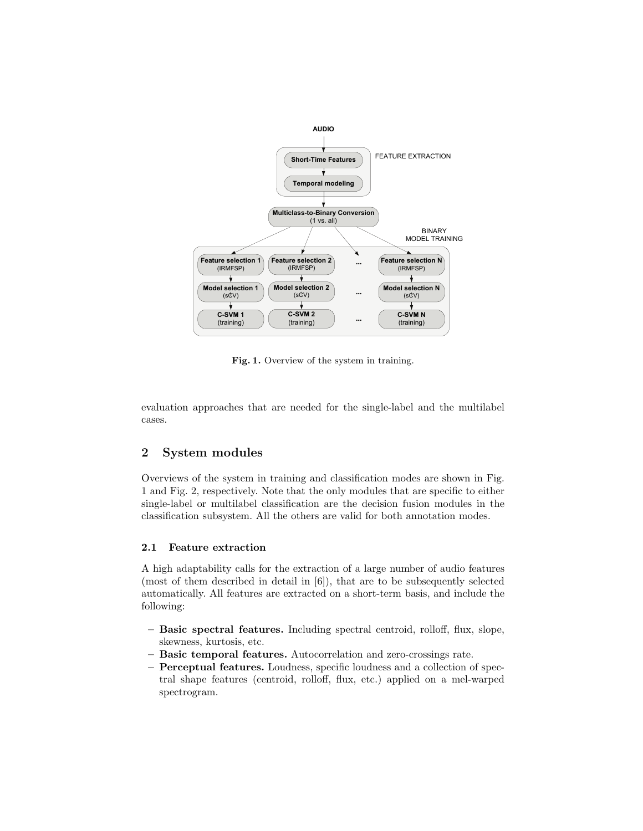

Fig. 1. Overview of the system in training.

evaluation approaches that are needed for the single-label and the multilabel cases.

## 2 System modules

Overviews of the system in training and classification modes are shown in Fig. 1 and Fig. 2, respectively. Note that the only modules that are specific to either single-label or multilabel classification are the decision fusion modules in the classification subsystem. All the others are valid for both annotation modes.

#### 2.1 Feature extraction

A high adaptability calls for the extraction of a large number of audio features (most of them described in detail in [6]), that are to be subsequently selected automatically. All features are extracted on a short-term basis, and include the following:

- Basic spectral features. Including spectral centroid, rolloff, flux, slope, skewness, kurtosis, etc.
- Basic temporal features. Autocorrelation and zero-crossings rate.
- Perceptual features. Loudness, specific loudness and a collection of spectral shape features (centroid, rolloff, flux, etc.) applied on a mel-warped spectrogram.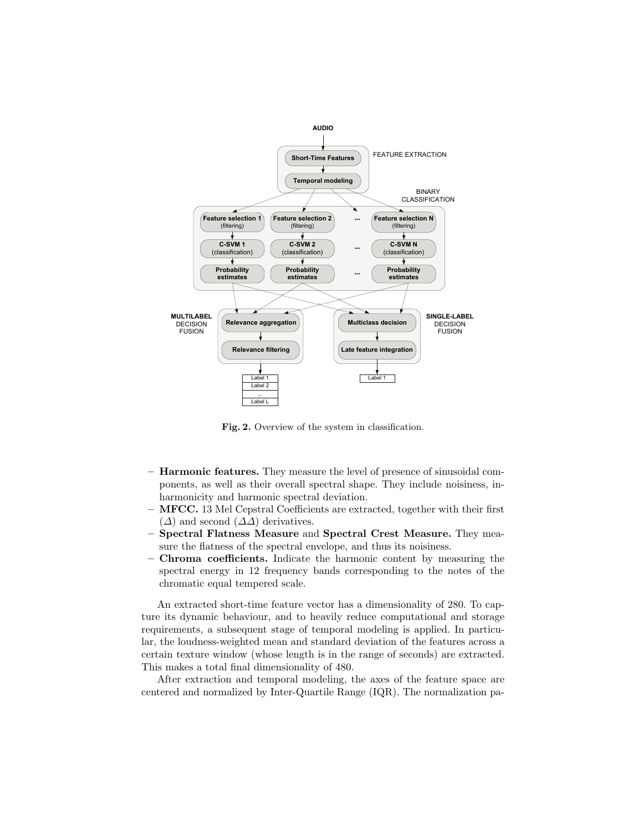

Fig. 2. Overview of the system in classification.

- Harmonic features. They measure the level of presence of sinusoidal components, as well as their overall spectral shape. They include noisiness, inharmonicity and harmonic spectral deviation.
- $-$  MFCC. 13 Mel Cepstral Coefficients are extracted, together with their first  $(\Delta)$  and second  $(\Delta \Delta)$  derivatives.
- Spectral Flatness Measure and Spectral Crest Measure. They measure the flatness of the spectral envelope, and thus its noisiness.
- Chroma coefficients. Indicate the harmonic content by measuring the spectral energy in 12 frequency bands corresponding to the notes of the chromatic equal tempered scale.

An extracted short-time feature vector has a dimensionality of 280. To capture its dynamic behaviour, and to heavily reduce computational and storage requirements, a subsequent stage of temporal modeling is applied. In particular, the loudness-weighted mean and standard deviation of the features across a certain texture window (whose length is in the range of seconds) are extracted. This makes a total final dimensionality of 480.

After extraction and temporal modeling, the axes of the feature space are centered and normalized by Inter-Quartile Range (IQR). The normalization pa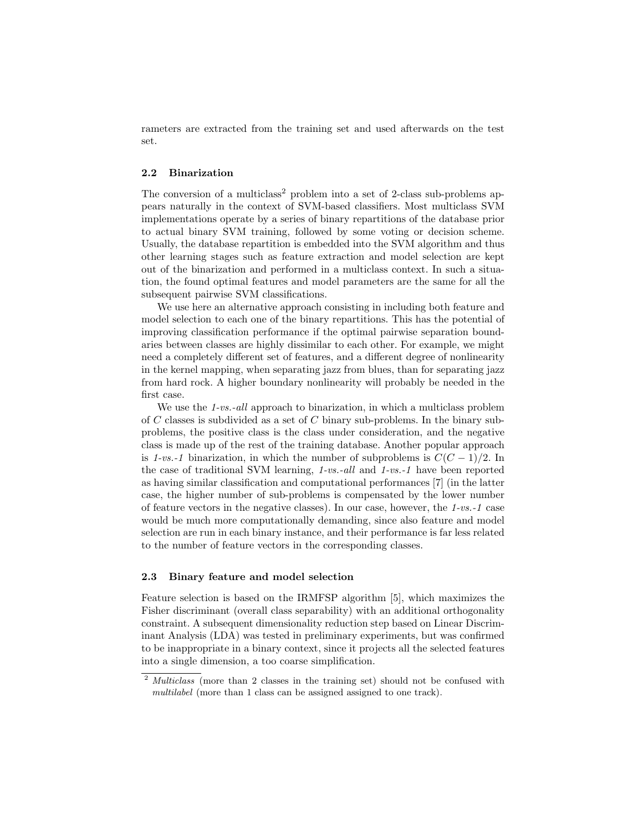rameters are extracted from the training set and used afterwards on the test set.

#### 2.2 Binarization

The conversion of a multiclass<sup>2</sup> problem into a set of 2-class sub-problems appears naturally in the context of SVM-based classifiers. Most multiclass SVM implementations operate by a series of binary repartitions of the database prior to actual binary SVM training, followed by some voting or decision scheme. Usually, the database repartition is embedded into the SVM algorithm and thus other learning stages such as feature extraction and model selection are kept out of the binarization and performed in a multiclass context. In such a situation, the found optimal features and model parameters are the same for all the subsequent pairwise SVM classifications.

We use here an alternative approach consisting in including both feature and model selection to each one of the binary repartitions. This has the potential of improving classification performance if the optimal pairwise separation boundaries between classes are highly dissimilar to each other. For example, we might need a completely different set of features, and a different degree of nonlinearity in the kernel mapping, when separating jazz from blues, than for separating jazz from hard rock. A higher boundary nonlinearity will probably be needed in the first case.

We use the 1-vs.-all approach to binarization, in which a multiclass problem of  $C$  classes is subdivided as a set of  $C$  binary sub-problems. In the binary subproblems, the positive class is the class under consideration, and the negative class is made up of the rest of the training database. Another popular approach is 1-vs.-1 binarization, in which the number of subproblems is  $C(C-1)/2$ . In the case of traditional SVM learning, 1-vs.-all and 1-vs.-1 have been reported as having similar classification and computational performances [7] (in the latter case, the higher number of sub-problems is compensated by the lower number of feature vectors in the negative classes). In our case, however, the 1-vs.-1 case would be much more computationally demanding, since also feature and model selection are run in each binary instance, and their performance is far less related to the number of feature vectors in the corresponding classes.

#### 2.3 Binary feature and model selection

Feature selection is based on the IRMFSP algorithm [5], which maximizes the Fisher discriminant (overall class separability) with an additional orthogonality constraint. A subsequent dimensionality reduction step based on Linear Discriminant Analysis (LDA) was tested in preliminary experiments, but was confirmed to be inappropriate in a binary context, since it projects all the selected features into a single dimension, a too coarse simplification.

<sup>&</sup>lt;sup>2</sup> Multiclass (more than 2 classes in the training set) should not be confused with multilabel (more than 1 class can be assigned assigned to one track).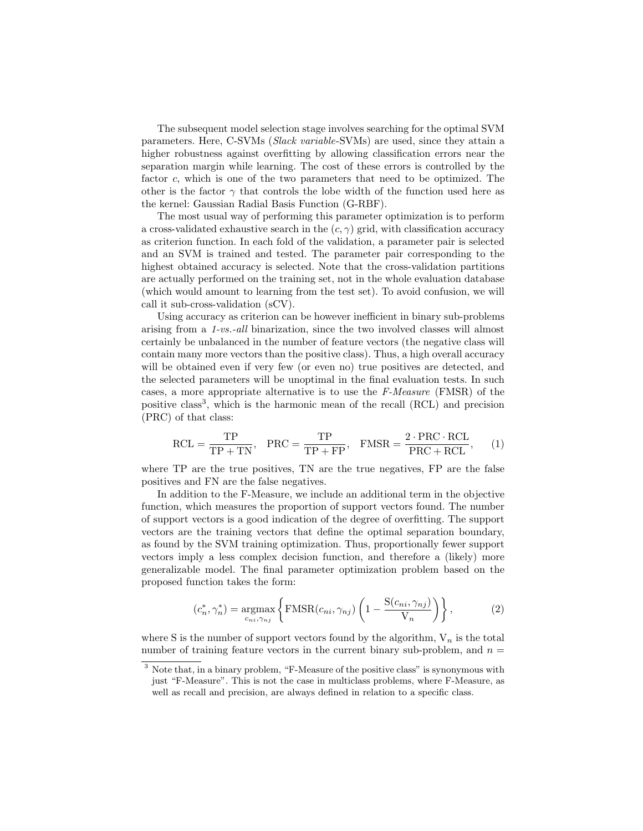The subsequent model selection stage involves searching for the optimal SVM parameters. Here, C-SVMs (Slack variable-SVMs) are used, since they attain a higher robustness against overfitting by allowing classification errors near the separation margin while learning. The cost of these errors is controlled by the factor c, which is one of the two parameters that need to be optimized. The other is the factor  $\gamma$  that controls the lobe width of the function used here as the kernel: Gaussian Radial Basis Function (G-RBF).

The most usual way of performing this parameter optimization is to perform a cross-validated exhaustive search in the  $(c, \gamma)$  grid, with classification accuracy as criterion function. In each fold of the validation, a parameter pair is selected and an SVM is trained and tested. The parameter pair corresponding to the highest obtained accuracy is selected. Note that the cross-validation partitions are actually performed on the training set, not in the whole evaluation database (which would amount to learning from the test set). To avoid confusion, we will call it sub-cross-validation (sCV).

Using accuracy as criterion can be however inefficient in binary sub-problems arising from a 1-vs.-all binarization, since the two involved classes will almost certainly be unbalanced in the number of feature vectors (the negative class will contain many more vectors than the positive class). Thus, a high overall accuracy will be obtained even if very few (or even no) true positives are detected, and the selected parameters will be unoptimal in the final evaluation tests. In such cases, a more appropriate alternative is to use the F-Measure (FMSR) of the positive class<sup>3</sup>, which is the harmonic mean of the recall (RCL) and precision (PRC) of that class:

$$
RCL = \frac{TP}{TP + TN}, \quad PRC = \frac{TP}{TP + FP}, \quad FMSR = \frac{2 \cdot PRC \cdot RCL}{PRC + RCL}, \tag{1}
$$

where TP are the true positives, TN are the true negatives, FP are the false positives and FN are the false negatives.

In addition to the F-Measure, we include an additional term in the objective function, which measures the proportion of support vectors found. The number of support vectors is a good indication of the degree of overfitting. The support vectors are the training vectors that define the optimal separation boundary, as found by the SVM training optimization. Thus, proportionally fewer support vectors imply a less complex decision function, and therefore a (likely) more generalizable model. The final parameter optimization problem based on the proposed function takes the form:

$$
(c_n^*, \gamma_n^*) = \underset{c_{ni}, \gamma_{nj}}{\text{argmax}} \left\{ \text{FMSR}(c_{ni}, \gamma_{nj}) \left( 1 - \frac{\text{S}(c_{ni}, \gamma_{nj})}{V_n} \right) \right\},\tag{2}
$$

where S is the number of support vectors found by the algorithm,  $V_n$  is the total number of training feature vectors in the current binary sub-problem, and  $n =$ 

<sup>&</sup>lt;sup>3</sup> Note that, in a binary problem, "F-Measure of the positive class" is synonymous with just "F-Measure". This is not the case in multiclass problems, where F-Measure, as well as recall and precision, are always defined in relation to a specific class.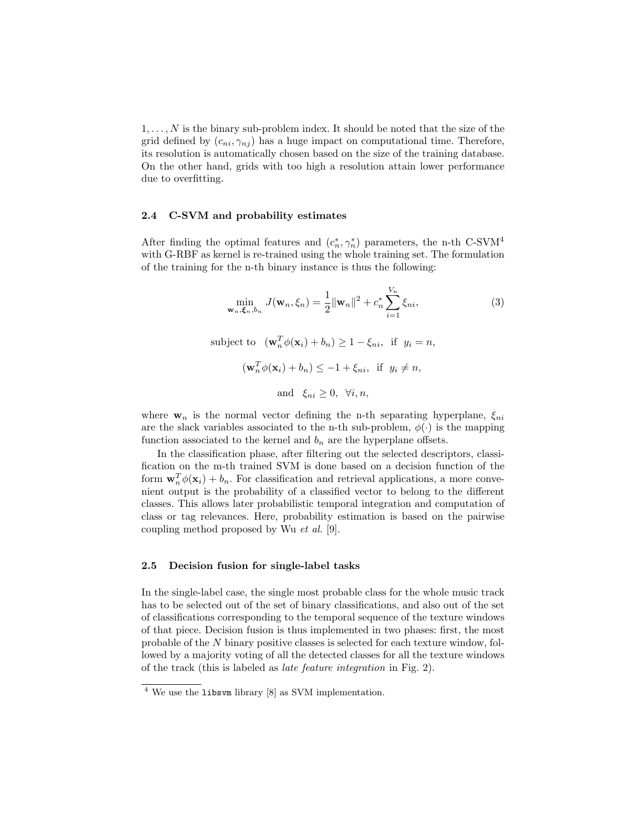$1, \ldots, N$  is the binary sub-problem index. It should be noted that the size of the grid defined by  $(c_{ni}, \gamma_{nj})$  has a huge impact on computational time. Therefore, its resolution is automatically chosen based on the size of the training database. On the other hand, grids with too high a resolution attain lower performance due to overfitting.

#### 2.4 C-SVM and probability estimates

After finding the optimal features and  $(c_n^*, \gamma_n^*)$  parameters, the n-th C-SVM<sup>4</sup> with G-RBF as kernel is re-trained using the whole training set. The formulation of the training for the n-th binary instance is thus the following:

$$
\min_{\mathbf{w}_n, \xi_n, b_n} J(\mathbf{w}_n, \xi_n) = \frac{1}{2} ||\mathbf{w}_n||^2 + c_n^* \sum_{i=1}^{V_n} \xi_{ni},
$$
\n(3)  
\nsubject to 
$$
(\mathbf{w}_n^T \phi(\mathbf{x}_i) + b_n) \ge 1 - \xi_{ni}, \text{ if } y_i = n,
$$
\n
$$
(\mathbf{w}_n^T \phi(\mathbf{x}_i) + b_n) \le -1 + \xi_{ni}, \text{ if } y_i \ne n,
$$
\nand  $\xi_{ni} \ge 0, \forall i, n,$ 

where  $\mathbf{w}_n$  is the normal vector defining the n-th separating hyperplane,  $\xi_{ni}$ are the slack variables associated to the n-th sub-problem,  $\phi(\cdot)$  is the mapping function associated to the kernel and  $b_n$  are the hyperplane offsets.

In the classification phase, after filtering out the selected descriptors, classification on the m-th trained SVM is done based on a decision function of the form  $\mathbf{w}_n^T \phi(\mathbf{x}_i) + b_n$ . For classification and retrieval applications, a more convenient output is the probability of a classified vector to belong to the different classes. This allows later probabilistic temporal integration and computation of class or tag relevances. Here, probability estimation is based on the pairwise coupling method proposed by Wu et al. [9].

#### 2.5 Decision fusion for single-label tasks

In the single-label case, the single most probable class for the whole music track has to be selected out of the set of binary classifications, and also out of the set of classifications corresponding to the temporal sequence of the texture windows of that piece. Decision fusion is thus implemented in two phases: first, the most probable of the N binary positive classes is selected for each texture window, followed by a majority voting of all the detected classes for all the texture windows of the track (this is labeled as late feature integration in Fig. 2).

<sup>4</sup> We use the libsvm library [8] as SVM implementation.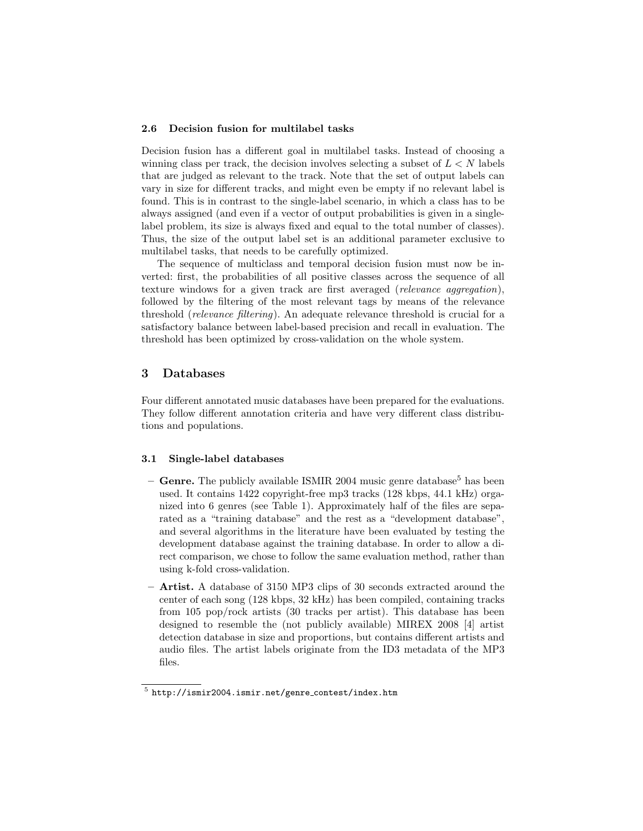#### 2.6 Decision fusion for multilabel tasks

Decision fusion has a different goal in multilabel tasks. Instead of choosing a winning class per track, the decision involves selecting a subset of  $L < N$  labels that are judged as relevant to the track. Note that the set of output labels can vary in size for different tracks, and might even be empty if no relevant label is found. This is in contrast to the single-label scenario, in which a class has to be always assigned (and even if a vector of output probabilities is given in a singlelabel problem, its size is always fixed and equal to the total number of classes). Thus, the size of the output label set is an additional parameter exclusive to multilabel tasks, that needs to be carefully optimized.

The sequence of multiclass and temporal decision fusion must now be inverted: first, the probabilities of all positive classes across the sequence of all texture windows for a given track are first averaged (relevance aggregation), followed by the filtering of the most relevant tags by means of the relevance threshold (relevance filtering). An adequate relevance threshold is crucial for a satisfactory balance between label-based precision and recall in evaluation. The threshold has been optimized by cross-validation on the whole system.

## 3 Databases

Four different annotated music databases have been prepared for the evaluations. They follow different annotation criteria and have very different class distributions and populations.

#### 3.1 Single-label databases

- **Genre.** The publicly available ISMIR 2004 music genre database<sup>5</sup> has been used. It contains 1422 copyright-free mp3 tracks (128 kbps, 44.1 kHz) organized into 6 genres (see Table 1). Approximately half of the files are separated as a "training database" and the rest as a "development database", and several algorithms in the literature have been evaluated by testing the development database against the training database. In order to allow a direct comparison, we chose to follow the same evaluation method, rather than using k-fold cross-validation.
- Artist. A database of 3150 MP3 clips of 30 seconds extracted around the center of each song (128 kbps, 32 kHz) has been compiled, containing tracks from 105 pop/rock artists (30 tracks per artist). This database has been designed to resemble the (not publicly available) MIREX 2008 [4] artist detection database in size and proportions, but contains different artists and audio files. The artist labels originate from the ID3 metadata of the MP3 files.

 $^5$ http://ismir2004.ismir.net/genre\_contest/index.htm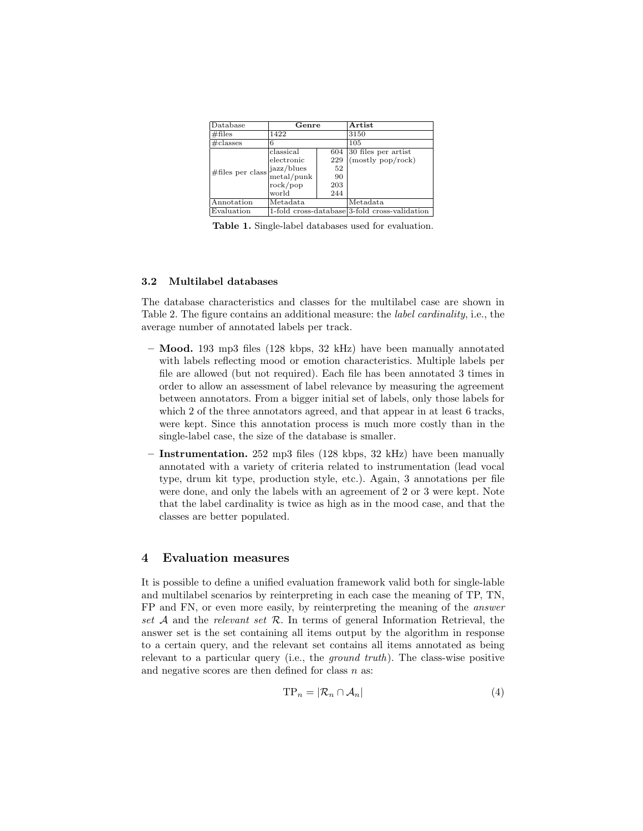| Database             | Genre         |     | Artist                                        |  |  |
|----------------------|---------------|-----|-----------------------------------------------|--|--|
| # files              | 1422          |     | 3150                                          |  |  |
| $\#$ classes         | 6             |     | 105                                           |  |  |
| $\#$ files per class | classical     | 604 | 30 files per artist                           |  |  |
|                      | electronic    | 229 | (mostly pop/rock)                             |  |  |
|                      | jazz/blues    | 52  |                                               |  |  |
|                      | $metal$ /punk | 90  |                                               |  |  |
|                      | rock/pop      | 203 |                                               |  |  |
|                      | world         | 244 |                                               |  |  |
| Annotation           | Metadata      |     | Metadata                                      |  |  |
| Evaluation           |               |     | 1-fold cross-database 3-fold cross-validation |  |  |

Table 1. Single-label databases used for evaluation.

#### 3.2 Multilabel databases

The database characteristics and classes for the multilabel case are shown in Table 2. The figure contains an additional measure: the label cardinality, i.e., the average number of annotated labels per track.

- $-$  **Mood.** 193 mp3 files (128 kbps, 32 kHz) have been manually annotated with labels reflecting mood or emotion characteristics. Multiple labels per file are allowed (but not required). Each file has been annotated 3 times in order to allow an assessment of label relevance by measuring the agreement between annotators. From a bigger initial set of labels, only those labels for which 2 of the three annotators agreed, and that appear in at least 6 tracks, were kept. Since this annotation process is much more costly than in the single-label case, the size of the database is smaller.
- Instrumentation. 252 mp3 files (128 kbps, 32 kHz) have been manually annotated with a variety of criteria related to instrumentation (lead vocal type, drum kit type, production style, etc.). Again, 3 annotations per file were done, and only the labels with an agreement of 2 or 3 were kept. Note that the label cardinality is twice as high as in the mood case, and that the classes are better populated.

## 4 Evaluation measures

It is possible to define a unified evaluation framework valid both for single-lable and multilabel scenarios by reinterpreting in each case the meaning of TP, TN, FP and FN, or even more easily, by reinterpreting the meaning of the answer set A and the relevant set R. In terms of general Information Retrieval, the answer set is the set containing all items output by the algorithm in response to a certain query, and the relevant set contains all items annotated as being relevant to a particular query (i.e., the ground truth). The class-wise positive and negative scores are then defined for class  $n$  as:

$$
TP_n = |\mathcal{R}_n \cap \mathcal{A}_n| \tag{4}
$$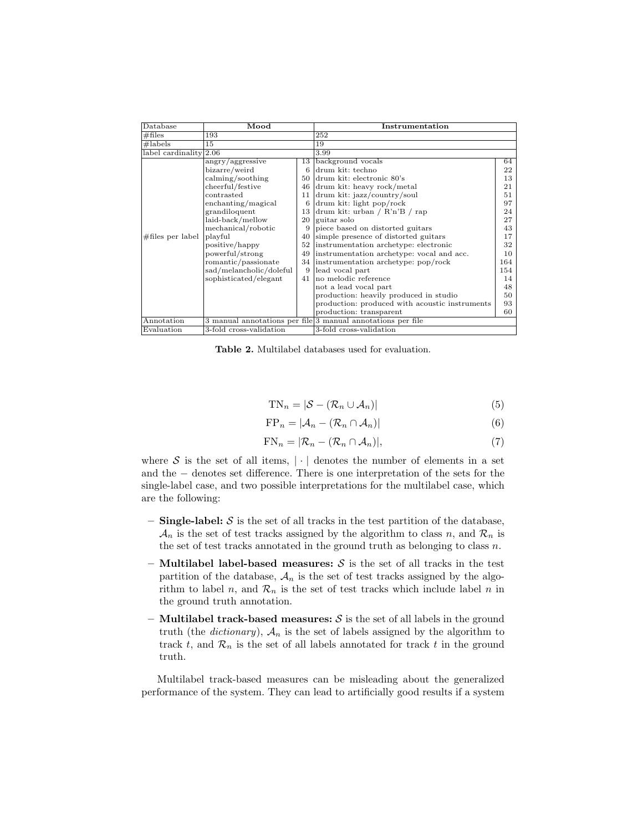| Database                 | Mood                    |                         | Instrumentation                                             |     |  |  |
|--------------------------|-------------------------|-------------------------|-------------------------------------------------------------|-----|--|--|
| # files                  | 193                     |                         | 252                                                         |     |  |  |
| #labels                  | 15                      |                         | 19                                                          |     |  |  |
| label cardinality $2.06$ |                         |                         | 3.99                                                        |     |  |  |
|                          | angry/aggressive        | 13                      | background vocals                                           | 64  |  |  |
|                          | bizarre/weird           | 6                       | drum kit: techno                                            | 22  |  |  |
|                          | calming/soothing        | 50                      | drum kit: electronic 80's                                   | 13  |  |  |
|                          | cheerful/festive        | 46                      | drum kit: heavy rock/metal                                  | 21  |  |  |
|                          | contrasted              | 11                      | drum kit: jazz/country/soul                                 | 51  |  |  |
|                          | enchanting/magical      | 6                       | drum kit: light pop/rock                                    | 97  |  |  |
|                          | grandiloquent           |                         | 13 drum kit: urban / $R'n'B$ / rap                          | 24  |  |  |
|                          | laid-back/mellow        | 20                      | guitar solo                                                 | 27  |  |  |
|                          | mechanical/robotic      | 9                       | piece based on distorted guitars                            | 43  |  |  |
| $\#$ files per label     | playful                 | 40                      | simple presence of distorted guitars                        | 17  |  |  |
|                          | positive/happy          | 52                      | instrumentation archetype: electronic                       | 32  |  |  |
|                          | powerful/strong         | 49                      | instrumentation archetype: vocal and acc.                   | 10  |  |  |
|                          | romantic/passionate     |                         | 34 instrumentation archetype: pop/rock                      | 164 |  |  |
|                          | sad/melancholic/doleful | 9                       | lead vocal part                                             | 154 |  |  |
|                          | sophisticated/elegant   | 41                      | no melodic reference                                        | 14  |  |  |
|                          |                         |                         | not a lead vocal part                                       | 48  |  |  |
|                          |                         |                         | production: heavily produced in studio                      | 50  |  |  |
|                          |                         |                         | production: produced with acoustic instruments              | 93  |  |  |
|                          |                         |                         | production: transparent                                     | 60  |  |  |
| Annotation               |                         |                         | 3 manual annotations per file 3 manual annotations per file |     |  |  |
| Evaluation               | 3-fold cross-validation | 3-fold cross-validation |                                                             |     |  |  |

Table 2. Multilabel databases used for evaluation.

$$
TN_n = |\mathcal{S} - (\mathcal{R}_n \cup \mathcal{A}_n)| \tag{5}
$$

$$
FP_n = |\mathcal{A}_n - (\mathcal{R}_n \cap \mathcal{A}_n)| \tag{6}
$$

$$
FN_n = |\mathcal{R}_n - (\mathcal{R}_n \cap \mathcal{A}_n)|,
$$
\n(7)

where  $S$  is the set of all items,  $|\cdot|$  denotes the number of elements in a set and the − denotes set difference. There is one interpretation of the sets for the single-label case, and two possible interpretations for the multilabel case, which are the following:

- Single-label:  $S$  is the set of all tracks in the test partition of the database,  $\mathcal{A}_n$  is the set of test tracks assigned by the algorithm to class n, and  $\mathcal{R}_n$  is the set of test tracks annotated in the ground truth as belonging to class  $n$ .
- Multilabel label-based measures:  $S$  is the set of all tracks in the test partition of the database,  $A_n$  is the set of test tracks assigned by the algorithm to label n, and  $\mathcal{R}_n$  is the set of test tracks which include label n in the ground truth annotation.
- Multilabel track-based measures:  $S$  is the set of all labels in the ground truth (the *dictionary*),  $A_n$  is the set of labels assigned by the algorithm to track t, and  $\mathcal{R}_n$  is the set of all labels annotated for track t in the ground truth.

Multilabel track-based measures can be misleading about the generalized performance of the system. They can lead to artificially good results if a system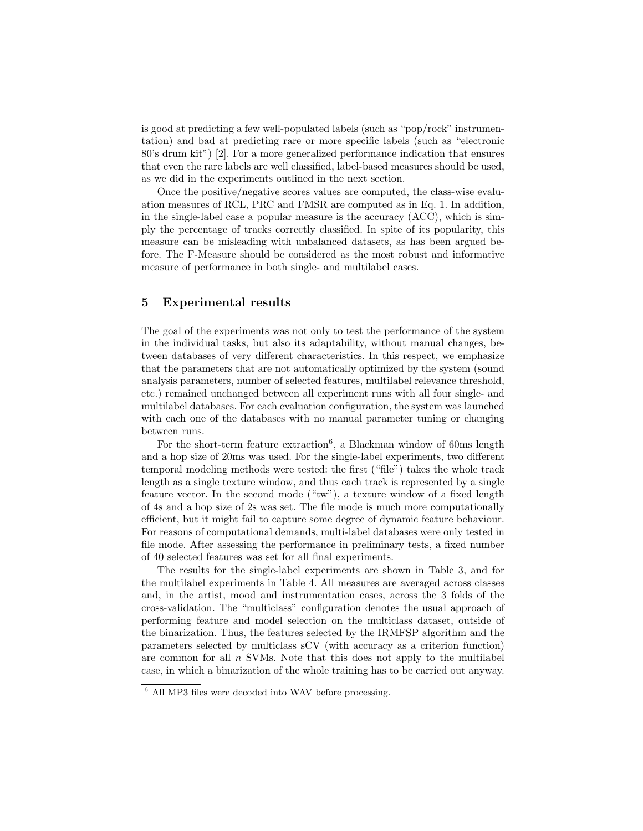is good at predicting a few well-populated labels (such as "pop/rock" instrumentation) and bad at predicting rare or more specific labels (such as "electronic 80's drum kit") [2]. For a more generalized performance indication that ensures that even the rare labels are well classified, label-based measures should be used, as we did in the experiments outlined in the next section.

Once the positive/negative scores values are computed, the class-wise evaluation measures of RCL, PRC and FMSR are computed as in Eq. 1. In addition, in the single-label case a popular measure is the accuracy (ACC), which is simply the percentage of tracks correctly classified. In spite of its popularity, this measure can be misleading with unbalanced datasets, as has been argued before. The F-Measure should be considered as the most robust and informative measure of performance in both single- and multilabel cases.

# 5 Experimental results

The goal of the experiments was not only to test the performance of the system in the individual tasks, but also its adaptability, without manual changes, between databases of very different characteristics. In this respect, we emphasize that the parameters that are not automatically optimized by the system (sound analysis parameters, number of selected features, multilabel relevance threshold, etc.) remained unchanged between all experiment runs with all four single- and multilabel databases. For each evaluation configuration, the system was launched with each one of the databases with no manual parameter tuning or changing between runs.

For the short-term feature extraction<sup>6</sup>, a Blackman window of 60ms length and a hop size of 20ms was used. For the single-label experiments, two different temporal modeling methods were tested: the first ("file") takes the whole track length as a single texture window, and thus each track is represented by a single feature vector. In the second mode ("tw"), a texture window of a fixed length of 4s and a hop size of 2s was set. The file mode is much more computationally efficient, but it might fail to capture some degree of dynamic feature behaviour. For reasons of computational demands, multi-label databases were only tested in file mode. After assessing the performance in preliminary tests, a fixed number of 40 selected features was set for all final experiments.

The results for the single-label experiments are shown in Table 3, and for the multilabel experiments in Table 4. All measures are averaged across classes and, in the artist, mood and instrumentation cases, across the 3 folds of the cross-validation. The "multiclass" configuration denotes the usual approach of performing feature and model selection on the multiclass dataset, outside of the binarization. Thus, the features selected by the IRMFSP algorithm and the parameters selected by multiclass sCV (with accuracy as a criterion function) are common for all  $n$  SVMs. Note that this does not apply to the multilabel case, in which a binarization of the whole training has to be carried out anyway.

<sup>6</sup> All MP3 files were decoded into WAV before processing.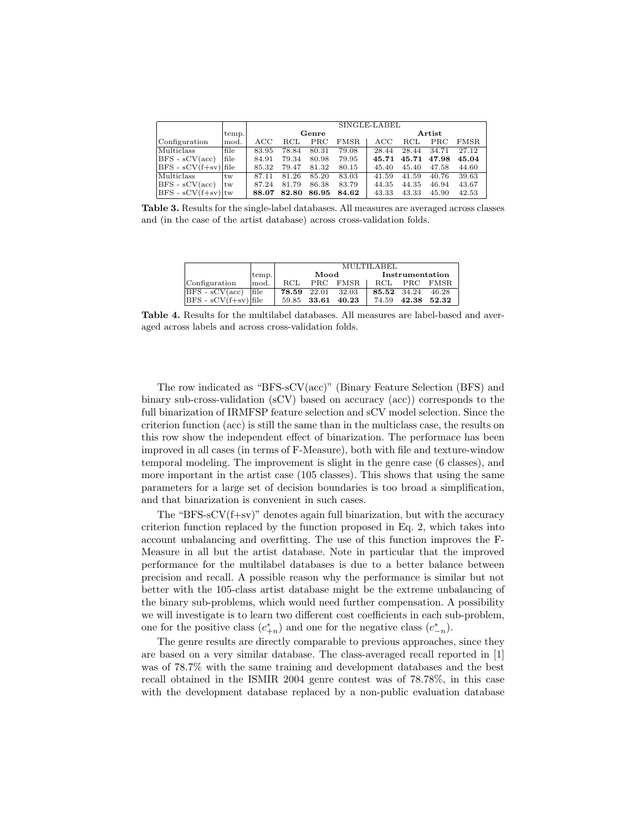|                          |               | SINGLE-LABEL      |       |       |             |                   |              |       |       |
|--------------------------|---------------|-------------------|-------|-------|-------------|-------------------|--------------|-------|-------|
|                          | temp.         | Genre             |       |       |             | Artist            |              |       |       |
| Configuration            | mod.          | $_{\mathrm{ACC}}$ | RCL   | PRC   | <b>FMSR</b> | $_{\mathrm{ACC}}$ | $_{\rm RCL}$ | PRC   | FMSR. |
| Multiclass               | file          | 83.95             | 78.84 | 80.31 | 79.08       | 28.44             | 28.44        | 34.71 | 27.12 |
| $ BFS - sCV(acc) $       | file          | 84.91             | 79.34 | 80.98 | 79.95       | 45.71             | 45.71        | 47.98 | 45.04 |
| $ BFS - sCV(f+sv) $ file |               | 85.32             | 79.47 | 81.32 | 80.15       | 45.40             | 45.40        | 47.58 | 44.60 |
| Multiclass               | tw            | 87.11             | 81.26 | 85.20 | 83.03       | 41.59             | 41.59        | 40.76 | 39.63 |
| $BFS - sCV(acc)$         | <sup>tw</sup> | 87.24             | 81.79 | 86.38 | 83.79       | 44.35             | 44.35        | 46.94 | 43.67 |
| $ BFS - sCV(f+sv) $ tw   |               | 88.07             | 82.80 | 86.95 | 84.62       | 43.33             | 43.33        | 45.90 | 42.53 |

Table 3. Results for the single-label databases. All measures are averaged across classes and (in the case of the artist database) across cross-validation folds.

|                         |       | <b>MULTILABEL</b> |             |          |                 |             |       |  |
|-------------------------|-------|-------------------|-------------|----------|-----------------|-------------|-------|--|
|                         |       |                   |             |          |                 |             |       |  |
|                         | temp. |                   | Mood        |          | Instrumentation |             |       |  |
| Configuration           | mod.  | RCL               |             | PRC FMSR | RCL             | <b>PRC</b>  | FMSR. |  |
| $BFS - sCV(\text{acc})$ | file  | 78.59 22.01       |             | 32.03    | 85.52 34.24     |             | 46.28 |  |
| $BFS - sCV(f+sv)$ file  |       |                   | 59.85 33.61 | 40.23    | 74.59           | 42.38 52.32 |       |  |

Table 4. Results for the multilabel databases. All measures are label-based and averaged across labels and across cross-validation folds.

The row indicated as "BFS-sCV(acc)" (Binary Feature Selection (BFS) and binary sub-cross-validation (sCV) based on accuracy (acc)) corresponds to the full binarization of IRMFSP feature selection and sCV model selection. Since the criterion function (acc) is still the same than in the multiclass case, the results on this row show the independent effect of binarization. The performace has been improved in all cases (in terms of F-Measure), both with file and texture-window temporal modeling. The improvement is slight in the genre case (6 classes), and more important in the artist case (105 classes). This shows that using the same parameters for a large set of decision boundaries is too broad a simplification, and that binarization is convenient in such cases.

The "BFS- $sCV(f+sv)$ " denotes again full binarization, but with the accuracy criterion function replaced by the function proposed in Eq. 2, which takes into account unbalancing and overfitting. The use of this function improves the F-Measure in all but the artist database. Note in particular that the improved performance for the multilabel databases is due to a better balance between precision and recall. A possible reason why the performance is similar but not better with the 105-class artist database might be the extreme unbalancing of the binary sub-problems, which would need further compensation. A possibility we will investigate is to learn two different cost coefficients in each sub-problem, one for the positive class  $(c_{+n}^*)$  and one for the negative class  $(c_{-n}^*)$ .

The genre results are directly comparable to previous approaches, since they are based on a very similar database. The class-averaged recall reported in [1] was of 78.7% with the same training and development databases and the best recall obtained in the ISMIR 2004 genre contest was of 78.78%, in this case with the development database replaced by a non-public evaluation database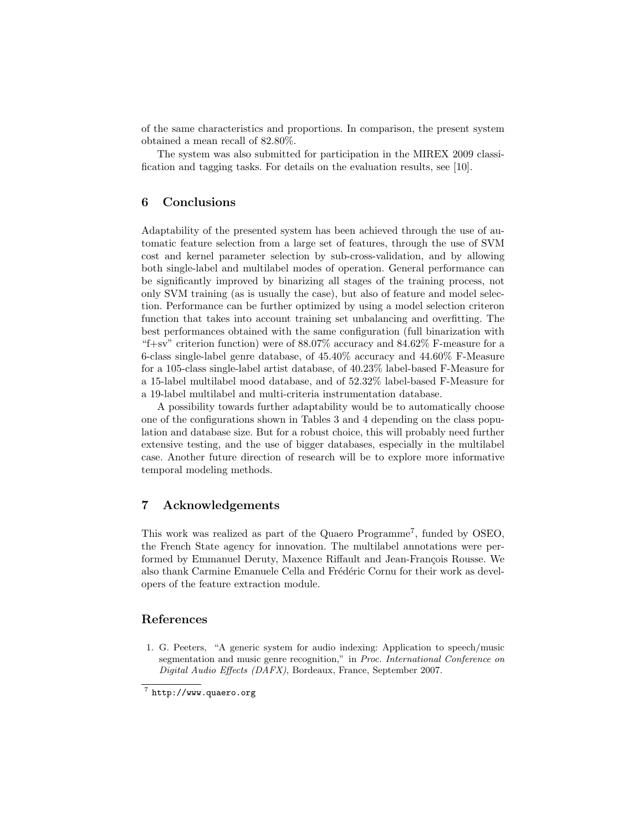of the same characteristics and proportions. In comparison, the present system obtained a mean recall of 82.80%.

The system was also submitted for participation in the MIREX 2009 classification and tagging tasks. For details on the evaluation results, see [10].

# 6 Conclusions

Adaptability of the presented system has been achieved through the use of automatic feature selection from a large set of features, through the use of SVM cost and kernel parameter selection by sub-cross-validation, and by allowing both single-label and multilabel modes of operation. General performance can be significantly improved by binarizing all stages of the training process, not only SVM training (as is usually the case), but also of feature and model selection. Performance can be further optimized by using a model selection criteron function that takes into account training set unbalancing and overfitting. The best performances obtained with the same configuration (full binarization with "f+sv" criterion function) were of  $88.07\%$  accuracy and  $84.62\%$  F-measure for a 6-class single-label genre database, of 45.40% accuracy and 44.60% F-Measure for a 105-class single-label artist database, of 40.23% label-based F-Measure for a 15-label multilabel mood database, and of 52.32% label-based F-Measure for a 19-label multilabel and multi-criteria instrumentation database.

A possibility towards further adaptability would be to automatically choose one of the configurations shown in Tables 3 and 4 depending on the class population and database size. But for a robust choice, this will probably need further extensive testing, and the use of bigger databases, especially in the multilabel case. Another future direction of research will be to explore more informative temporal modeling methods.

## 7 Acknowledgements

This work was realized as part of the Quaero Programme<sup>7</sup>, funded by OSEO, the French State agency for innovation. The multilabel annotations were performed by Emmanuel Deruty, Maxence Riffault and Jean-François Rousse. We also thank Carmine Emanuele Cella and Frédéric Cornu for their work as developers of the feature extraction module.

# References

1. G. Peeters, "A generic system for audio indexing: Application to speech/music segmentation and music genre recognition," in Proc. International Conference on Digital Audio Effects (DAFX), Bordeaux, France, September 2007.

 $7$  http://www.quaero.org